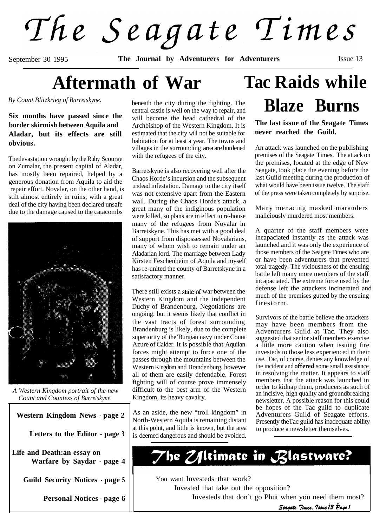The Seagate Times

September 30 1995 **The Journal by Adventurers for Adventurers Issue 13** 

# **Aftermath of War**

*By Count Blitzkrieg of Barretskyne.*

#### **Six months have passed since the border skirmish between Aquila and Aladar, but its effects are still obvious.**

Thedevastation wrought by the Ruby Scourge on Zumalar, the present capital of Aladar, has mostly been repaired, helped by a generous donation from Aquila to aid the repair effort. Novalar, on the other hand, is stilt almost entirely in ruins, with a great deal of the city having been declared unsafe due to the damage caused to the catacombs



*A Western Kingdom portrait of the new Count and Countess of Barretskyne.*

**Western Kingdom News - page 2 Letters to the Editor - page 3**

**Life and Death:an essay on Warfare by Saydar - page 4**

**Guild Security Notices - page 5**

**Personal Notices - page 6**

beneath the city during the fighting. The central castle is well on the way to repair, and will become the head cathedral of the Archbishop of the Western Kingdom. It is estimated that the city will not be suitable for habitation for at least a year. The towns and villages in the surrounding area are burdened with the refugees of the city.

Barretskyne is also recovering well after the Chaos Horde's incursion and the subsequent undead infestation. Damage to the city itself was not extensive apart from the Eastern wall. During the Chaos Horde's attack, a great many of the indiginous population were killed, so plans are in effect to re-house many of the refugees from Novalar in Barretskyne. This has met with a good deal of support from dispossessed Novalarians, many of whom wish to remain under an Aladarian lord. The marriage between Lady Kirsten Feschenheim of Aquila and myself has re-united the county of Barretskyne in a satisfactory manner.

There still exists a **state of** war between the Western Kingdom and the independent Duchy of Brandenburg. Negotiations are ongoing, but it seems likely that conflict in the vast tracts of forest surrounding Brandenburg is likely, due to the complete superiority of the'Burgian navy under Count Azure of Calder. It is possible that Aquilan forces might attempt to force one of the passes through the mountains between the Western Kingdom and Brandenburg, however all of them are easily defendable. Forest fighting will of course prove immensely difficult to the best arm of the Western Kingdom, its heavy cavalry.

As an aside, the new "troll kingdom" in North-Western Aquila is remaining distant at this point, and little is known, but the area is deemed dangerous and should be avoided.

# **Tac Raids while Blaze Burns**

**The last issue of the Seagate Times never reached the Guild.**

An attack was launched on the publishing premises of the Seagate Times. The attack on the premises, located at the edge of New Seagate, took place the evening before the last Guild meeting during the production of what would have been issue twelve. The staff of the press were taken completely by surprise.

Many menacing masked marauders maliciously murdered most members.

A quarter of the staff members were incapaciated instantly as the attack was launched and it was only the experience of those members of the Seagate Times who are or have been adventurers that prevented total tragedy. The viciousness of the ensuing battle left many more members of the staff incapaciated. The extreme force used by the defense left the attackers incinerated and much of the premises gutted by the ensuing firestorm.

Survivors of the battle believe the attackers may have been members from the Adventurers Guild at Tac. They also suggested that senior staff members exercise a little more caution when issuing fire investeds to those less experienced in their use. Tac, of course, denies any knowledge of the incident and **offered** some small assistance in resolving the matter. It appears to staff members that the attack was launched in order to kidnap them, producers as such of an incisive, high quality and groundbreaking newsletter. A possible reason for this could be hopes of the Tac guild to duplicate Adventurers Guild of Seagate efforts. Presently theTac guild has inadequate ability to produce a newsletter themselves.

The Z/Itimate in Blastware?

You want Investeds that work? Invested that take out the opposition? Investeds that don't go Phut when you need them most? Seagate Times, Issue 13, Page 1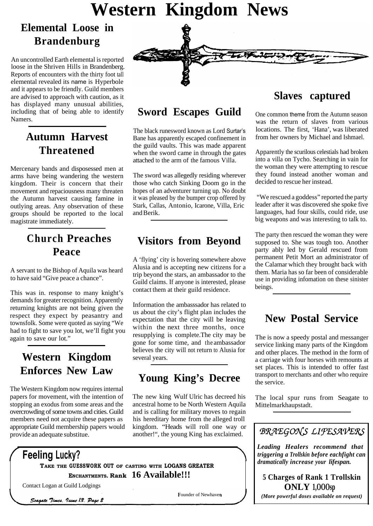# **Western Kingdom News**

# **Elemental Loose in Brandenburg**

An uncontrolled Earth elemental is reported loose in the Shriven Hills in Brandenberg. Reports of encounters with the thirty foot tall elemental revealed its name is Hyperbole and it appears to be friendly. Guild members are advised to approach with caution, as it has displayed many unusual abilities, including that of being able to identify Namers.

## **Autumn Harvest Threatened**

Mercenary bands and disposessed men at arms have being wandering the western kingdom. Their is concern that their movement and repaciousness many threaten the Autumn harvest causing famine in outlying areas. Any observation of these groups should be reported to the local magistrate immediately.

# **Church Preaches Peace**

A servant to the Bishop of Aquila was heard to have said "Give peace a chance".

This was in. response to many knight's demands for greater recognition. Apparently returning knights are not being given the respect they expect by peasantry and townsfolk. Some were quoted as saying "We had to fight to save you lot, we'll fight you again to save our lot."

## **Western Kingdom Enforces New Law**

The Western Kingdom now requires internal papers for movement, with the intention of stopping an exodus from some areas and the overcrowding of some towns and cities. Guild members need not acquire these papers as appropriate Guild membership papers would provide an adequate substitue.

# **Sword Escapes Guild**

The black runesword known as Lord Surtar's Bane has apparently escaped confinement in the guild vaults. This was made apparent when the sword came in through the gates attached to the arm of the famous Villa.

The sword was allegedly residing wherever those who catch Sinking Doom go in the hopes of an adventurer turning up. No doubt it was pleased by the bumper crop offered by Stark, Callas, Antonio, Icarone, Villa, Eric and Berik.

## **Visitors from Beyond**

A 'flying' city is hovering somewhere above Alusia and is accepting new citizens for a trip beyond the stars, an ambassador to the Guild claims. If anyone is interested, please contact them at their guild residence.

Information the ambasssador has related to us about the city's flight plan includes the expectation that the city will be leaving within the next three months, once resupplying is complete.The city may be gone for some time, and the ambassador believes the city will not return to Alusia for several years.

### **Young King's Decree**

The new king Wulf Ulric has decreed his ancestral home to be North Western Aquila and is calling for military moves to regain his hereditary home from the alleged troll kingdom. "Heads will roll one way or another!", the young King has exclaimed.

### **Slaves captured**

One common theme from the Autumn season was the return of slaves from various locations. The first, 'Hana', was liberated from her owners by Michael and Ishmael.

Apparently the scurilous celestials had broken into a villa on Tycho. Searching in vain for the woman they were attempting to rescue they found instead another woman and decided to rescue her instead.

"We rescued a goddess" reported the party leader after it was discovered she spoke five languages, had four skills, could ride, use big weapons and was interesting to talk to.

The party then rescued the woman they were supposed to. She was tough too. Another party ably led by Gerald rescued from permanent Petit Mort an administrator of the Calamar which they brought back with them. Maria has so far been of considerable use in providing infomation on these sinister beings.

### **New Postal Service**

The is now a speedy postal and messanger service linking many parts of the Kingdom and other places. The method in the form of a carriage with four horses with remounts at set places. This is intended to offer fast transport to merchants and other who require the service.

The local spur runs from Seagate to Mittelmarkhaupstadt.



*(More powerful doses available on request)*

f**Feeling Lucky? TAKE THE GUESSWORK OUT OF CASTING WITH LOGANS GREATER ENCHANTMENTS. Rank 16 Available!!!**

Contact Logan at Guild Lodgings

Seagate Times. Issue 13. Page 2

Founder of Newhaven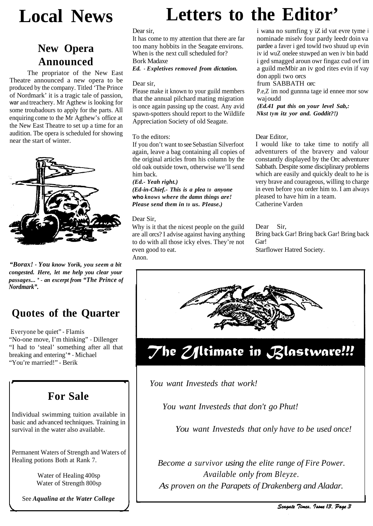# **New Opera Announced**

The propriator of the New East Theatre announced a new opera to be produced by the company. Titled 'The Prince of Nordmark' it is a tragic tale of passion, war and treachery. Mr Agthew is looking for some troubadours to apply for the parts. All enquiring come to the Mr Agthew's office at the New East Theatre to set up a time for an audition. Tbe opera is scheduled for showing near the start of winter.



*"Borax! - You know Yorik, you seem a bit congested. Here, let me help you clear your passages... " - an excerpt from "The Prince of Nordmark".*

# **Quotes of the Quarter**

Everyone be quiet" - Flamis "No-one move, I'm thinking" - Dillenger "I had to 'steal' something after all that breaking and entering'\* - Michael "You're married!" - Berik

# **For Sale**

Individual swimming tuition available in basic and advanced techniques. Training in survival in the water also available.

Permanent Waters of Strength and Waters of Healing potions Both at Rank 7.

> Water of Healing 400sp Water of Strength 800sp

See *Aqualina at the Water College*

# **Local News Letters to the Editor'**

Dear sir,

It has come to my attention that there are far too many hobbits in the Seagate environs. When is the next cull scheduled for? Bork Madaxe

*Ed. - Expletives removed from dictation.*

#### Dear sir,

Please make it known to your guild members that the annual pilchard mating migration is once again passing up the coast. Any avid spawn-spotters should report to the Wildlife Appreciation Society of old Seagate.

#### To the editors:

If you don't want to see Sebastian Silverfoot again, leave a bag containing all copies of the original articles from his column by the old oak outside town, otherwise we'll send him back.

*(Ed.- Yeah right.)*

*(Ed-in-Chief.- This is a plea to anyone* **who** *knows where the damn things are! Please send them in to us. Please.*)

#### Dear Sir,

Why is it that the nicest people on the guild are all orcs? I advise against having anything to do with all those icky elves. They're not even good to eat. Anon.

i wana no sumfing y iZ id vat evre tyme i nominade miselv four pardy leedr doin va pardee a faver i ged towld two shuud up evin iv id wuZ onelee stuwped an wen iv bin badd i ged smagged aroun owr fingaz cud ovf im a guild meMbir an iv god rites evin if vay don appli two orcs

#### frum SABBATH orc

P.e,Z im nod gunnna tage id ennee mor sow waj oudd

*(Ed.41 put this on your level Sab,: Nkst tym itz yor and. Goddit?!)*

Dear Editor,

I would like to take time to notify all adventurers of the bravery and valour constantly displayed by the Orc adventurer Sabbath. Despite some disciplinary problems which are easily and quickly dealt to he is very brave and courageous, willing to charge in even before you order him to. I am always pleased to have him in a team. Catherine Varden

Dear Sir, Starflower Hatred Society. Bring back Gar! Bring back Gar! Bring back Gar!



#### *You want Investeds that work!*

*You want Investeds that don't go Phut!*

*You want Investeds that only have to be used once!*

*Become a survivor using the elite range of Fire Power. Available only from Bleyze. As proven on the Parapets of Drakenberg and Aladar.*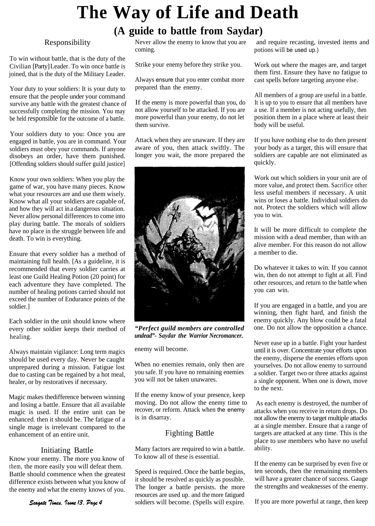# **The Way of Life and Death**

**(A guide to battle from Saydar)**

#### Responsibility

To win without battle, that is the duty of the Civilian [Party] Leader. To win once battle is joined, that is the duty of the Military Leader.

Your duty to your soldiers: It is your duty to ensure that the people under your command survive any battle with the greatest chance of successfully completing the mission. You may be held responsible for the outcome of a battle.

Your soldiers duty to you: Once you are engaged in battle, you are in command. Your soldiers must obey your commands. If anyone disobeys an order, have them punished. [Offending soldiers should suffer guild justice]

Know your own soldiers: When you play the game of war, you have many pieces. Know what your resources are and use them wisely. Know what all your soldiers are capable of, and how they will act in a dangerous situation. Never allow personal differences to come into play during battle. The morals of soldiers have no place in the struggle between life and death. To win is everything.

Ensure that every soldier has a method of maintaining full health. [As a guideline, it is recommended that every soldier carries at least one Guild Healing Potion (20 point) for each adventure they have completed. The number of healing potions carried should not exceed the number of Endurance points of the soldier.]

Each soldier in the unit should know where every other soldier keeps their method of healing.

Always maintain vigilance: Long term magics should be used every day. Never be caught unprepared during a mission. Fatigue lost due to casting can be regained by a hot meal, healer, or by restoratives if necessary.

Magic makes thedifference between winning and losing a battle. Ensure that all available magic is used. If the entire unit can be enhanced. then it should be. The fatigue of a single mage is irrelevant compared to the enhancement of an entire unit.

#### Initiating Battle

Know your enemy. The more you know of them, the more easily you will defeat them. Battle should commence when the greatest difference exists between what you know of the enemy and what the enemy knows of you.

coming. potions will be used up.)

Strike your enemy before they strike you.

Always ensure that you enter combat more prepared than the enemy.

If the enemy is more powerful than you, do not allow yourself to be attacked. If you are more powerful than your enemy, do not let them survive.

Attack when they are unaware. If they are aware of you, then attack swiftly. The longer you wait, the more prepared the



*"Perfect guild members are controlled undead"- Saydar the Warrior Necromancer.*

enemy will become.

When no enemies remain, only then are you safe. If you have no remaining enemies you will not be taken unawares.

If the enemy know of your presence, keep moving. Do not allow the enemy time to recover, or reform. Attack when the enemy is in disarray.

#### Fighting Battle

Many factors are required to win a battle. To know all of these is essential.

Speed is required. Once the battle begins, it should be resolved as quickly as possible. The longer a battle persists. the more resources are used up. and the more fatigued soldiers will become. (Spells will expire.

Never allow the enemy to know that you are and require recasting, invested items and

Work out where the mages are, and target them first. Ensure they have no fatigue to cast spells before targeting anyone else.

All members of a group are useful in a battle. It is up to you to ensure that all members have a use. If a member is not acting usefully, then position them in a place where at least their body will be useful.

If you have nothing else to do then present your body as a target, this will ensure that soldiers are capable are not eliminated as quickly.

Work out which soldiers in your unit are of more value, and protect them. Sacrifice other less useful members if necessary. A unit wins or loses a battle. Individual soldiers do not. Protect the soldiers which will allow you to win.

It will be more difficult to complete the mission with a dead member, than with an alive member. For this reason do not allow a member to die.

Do whatever it takes to win. If you cannot win, then do not attempt to fight at all. Find other resources, and return to the battle when you can win.

If you are engaged in a battle, and you are winning, then fight hard, and finish the enemy quickly. Any blow could be a fatal one. Do not allow the opposition a chance.

Never ease up in a battle. Fight your hardest until it is over. Concentrate your efforts upon the enemy, disperse the enemies efforts upon yourselves. Do not allow enemy to surround a soldier. Target two or three attacks against a single opponent. When one is down, move to the next.

As each enemy is destroyed, the number of attacks when you receive in return drops. Do not allow the enemy to target multiple attacks at a single member. Ensure that a range of targets are attacked at any time. This is the place to use members who have no useful ability.

If the enemy can be surprised by even five or ten seconds, then the remaining members will have a greater chance of success. Gauge the strengths and weaknesses of the enemy.

If you are more powerful at range, then keep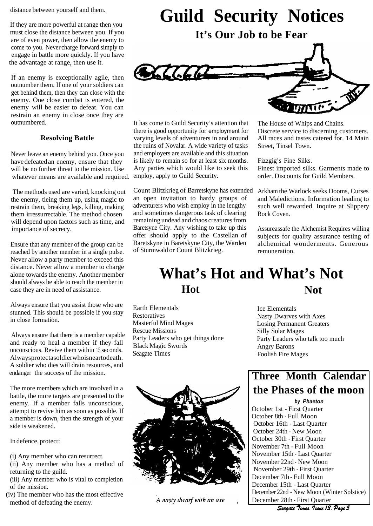distance between yourself and them.

If they are more powerful at range then you must close the distance between you. If you are of even power, then allow the enemy to come to you. Never charge forward simply to engage in battle more quickly. If you have the advantage at range, then use it.

If an enemy is exceptionally agile, then outnumber them. If one of your soldiers can get behind them, then they can close with the enemy. One close combat is entered, the enemy will be easier to defeat. You can restrain an enemy in close once they are outnumbered.

#### **Resolving Battle**

Never leave an enemy behind you. Once you have defeatedan enemy, ensure that they will be no further threat to the mission. Use whatever means are available and required.

The methods used are varied, knocking out the enemy, tieing them up, using magic to restrain them, breaking legs, killing, making them irressurrectable. The method chosen will depend upon factors such as time, and importance of secrecy.

Ensure that any member of the group can be reached by another member in a single pulse. Never allow a party member to exceed this distance. Never allow a member to charge alone towards the enemy. Another member should aIways be able to reach the member in case they are in need of assistance.

Always ensure that you assist those who are stunned. This should be possible if you stay in close formation.

Always ensure that there is a member capable and ready to heal a member if they fall unconscious. Revive them within 15 seconds. Alwaysprotectasoldierwhoisneartodeath. A soldier who dies will drain resources, and endanger the success of the mission.

The more members which are involved in a battle, the more targets are presented to the enemy. If a member falls unconscious, attempt to revive him as soon as possible. If a member is down, then the strength of your side is weakened.

In defence, protect:

(i) Any member who can resurrect.

- (ii) Any member who has a method of returning to the guild.
- (iii) Any member who is vital to completion of the mission.
- (iv) The member who has the most effective method of defeating the enemy.



**It's Our Job to be Fear**



It has come to Guild Security's attention that there is good opportunity for employment for varying levels of adventurers in and around the ruins of Novalar. A wide variety of tasks and employers are available and this situation is likely to remain so for at least six months. Any parties which would like to seek this employ, apply to Guild Security.

Count Blitzkrieg of Barretskyne has extended an open invitation to hardy groups of adventurers who wish employ in the lengthy and sometimes dangerous task of clearing remaining undead and chaos creatures from Baretsyne City. Any wishing to take up this offer should apply to the Castellan of Baretskyne in Baretskyne City, the Warden of Sturmwald or Count Blitzkrieg.

The House of Whips and Chains. Discrete service to discerning customers. All races and tastes catered for. 14 Main Street, Tinsel Town.

Fizzgig's Fine Silks. Finest imported silks. Garments made to order. Discounts for Guild Members.

Arkham the Warlock seeks Dooms, Curses and Maledictions. Information leading to such well rewarded. Inquire at Slippery Rock Coven.

Assureassafe the Alchemist Requires willing subjects for quality assurance testing of alchemical wonderments. Generous remuneration.

# **What's Hot and What's Not Hot Not**

Earth Elementals **Restoratives** Masterful Mind Mages Rescue Missions Party Leaders who get things done Black Magic Swords Seagate Times



A nasty dwarf with an axe

Ice Elementals Nasty Dwarves with Axes Losing Permanent Greaters Silly Solar Mages Party Leaders who talk too much Angry Barons Foolish Fire Mages

# **Three Month Calendar the Phases of the moon**

*by Phaeton*

October 1st - First Quarter October 8th - Full Moon October 16th - Last Quarter October 24th - New Moon October 30th - First Quarter November 7th - Full Moon November 15th - Last Quarter November 22nd - New Moon November 29th - First Quarter December 7th - Full Moon December 15th - Last Quarter December 22nd - New Moon (Winter Solstice) December 28th - First Quarter

Seagate Times. Issue 13. Page 5